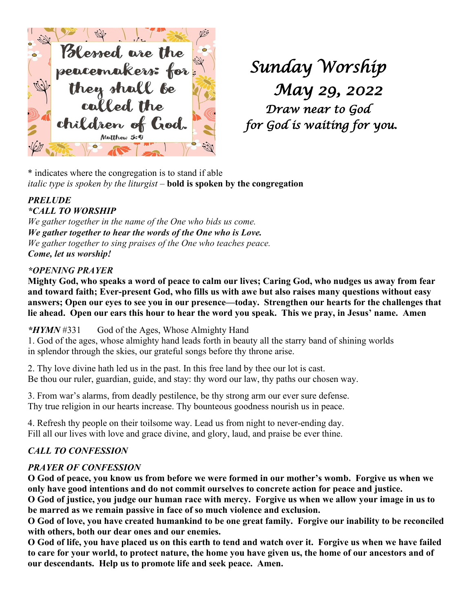

*Sunday Worship May 29, 2022 Draw near to God for God is waiting for you.* 

\* indicates where the congregation is to stand if able *italic type is spoken by the liturgist –* **bold is spoken by the congregation** 

#### *PRELUDE \*CALL TO WORSHIP*

*We gather together in the name of the One who bids us come. We gather together to hear the words of the One who is Love. We gather together to sing praises of the One who teaches peace. Come, let us worship!*

## *\*OPENING PRAYER*

**Mighty God, who speaks a word of peace to calm our lives; Caring God, who nudges us away from fear and toward faith; Ever-present God, who fills us with awe but also raises many questions without easy answers; Open our eyes to see you in our presence—today. Strengthen our hearts for the challenges that lie ahead. Open our ears this hour to hear the word you speak. This we pray, in Jesus' name. Amen**

### *\*HYMN* #331 God of the Ages, Whose Almighty Hand

1. God of the ages, whose almighty hand leads forth in beauty all the starry band of shining worlds in splendor through the skies, our grateful songs before thy throne arise.

2. Thy love divine hath led us in the past. In this free land by thee our lot is cast. Be thou our ruler, guardian, guide, and stay: thy word our law, thy paths our chosen way.

3. From war's alarms, from deadly pestilence, be thy strong arm our ever sure defense. Thy true religion in our hearts increase. Thy bounteous goodness nourish us in peace.

4. Refresh thy people on their toilsome way. Lead us from night to never-ending day. Fill all our lives with love and grace divine, and glory, laud, and praise be ever thine.

## *CALL TO CONFESSION*

### *PRAYER OF CONFESSION*

**O God of peace, you know us from before we were formed in our mother's womb. Forgive us when we only have good intentions and do not commit ourselves to concrete action for peace and justice.**

**O God of justice, you judge our human race with mercy. Forgive us when we allow your image in us to be marred as we remain passive in face of so much violence and exclusion.**

**O God of love, you have created humankind to be one great family. Forgive our inability to be reconciled with others, both our dear ones and our enemies.**

**O God of life, you have placed us on this earth to tend and watch over it. Forgive us when we have failed to care for your world, to protect nature, the home you have given us, the home of our ancestors and of our descendants. Help us to promote life and seek peace. Amen.**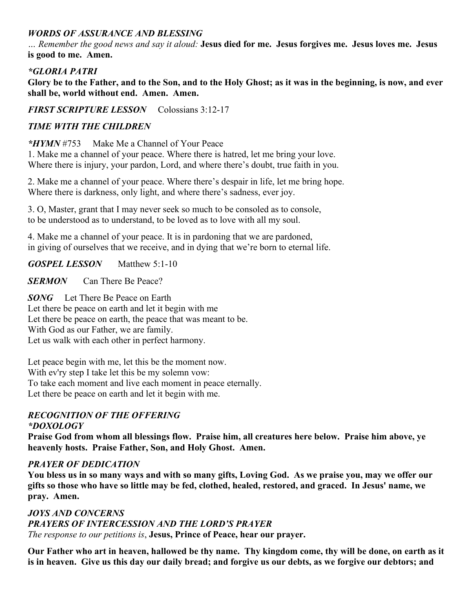#### *WORDS OF ASSURANCE AND BLESSING*

*… Remember the good news and say it aloud:* **Jesus died for me. Jesus forgives me. Jesus loves me. Jesus is good to me. Amen.** 

#### *\*GLORIA PATRI*

**Glory be to the Father, and to the Son, and to the Holy Ghost; as it was in the beginning, is now, and ever shall be, world without end. Amen. Amen.**

*FIRST SCRIPTURE LESSON* Colossians 3:12-17

## *TIME WITH THE CHILDREN*

*\*HYMN* #753 Make Me a Channel of Your Peace

1. Make me a channel of your peace. Where there is hatred, let me bring your love. Where there is injury, your pardon, Lord, and where there's doubt, true faith in you.

2. Make me a channel of your peace. Where there's despair in life, let me bring hope. Where there is darkness, only light, and where there's sadness, ever joy.

3. O, Master, grant that I may never seek so much to be consoled as to console, to be understood as to understand, to be loved as to love with all my soul.

4. Make me a channel of your peace. It is in pardoning that we are pardoned, in giving of ourselves that we receive, and in dying that we're born to eternal life.

*GOSPEL LESSON* Matthew 5:1-10

**SERMON** Can There Be Peace?

*SONG* Let There Be Peace on Earth Let there be peace on earth and let it begin with me Let there be peace on earth, the peace that was meant to be. With God as our Father, we are family. Let us walk with each other in perfect harmony.

Let peace begin with me, let this be the moment now. With ev'ry step I take let this be my solemn vow: To take each moment and live each moment in peace eternally. Let there be peace on earth and let it begin with me.

#### *RECOGNITION OF THE OFFERING \*DOXOLOGY*

**Praise God from whom all blessings flow. Praise him, all creatures here below. Praise him above, ye heavenly hosts. Praise Father, Son, and Holy Ghost. Amen.**

### *PRAYER OF DEDICATION*

**You bless us in so many ways and with so many gifts, Loving God. As we praise you, may we offer our gifts so those who have so little may be fed, clothed, healed, restored, and graced. In Jesus' name, we pray. Amen.**

# *JOYS AND CONCERNS PRAYERS OF INTERCESSION AND THE LORD'S PRAYER*

*The response to our petitions is*, **Jesus, Prince of Peace, hear our prayer.**

**Our Father who art in heaven, hallowed be thy name. Thy kingdom come, thy will be done, on earth as it is in heaven. Give us this day our daily bread; and forgive us our debts, as we forgive our debtors; and**